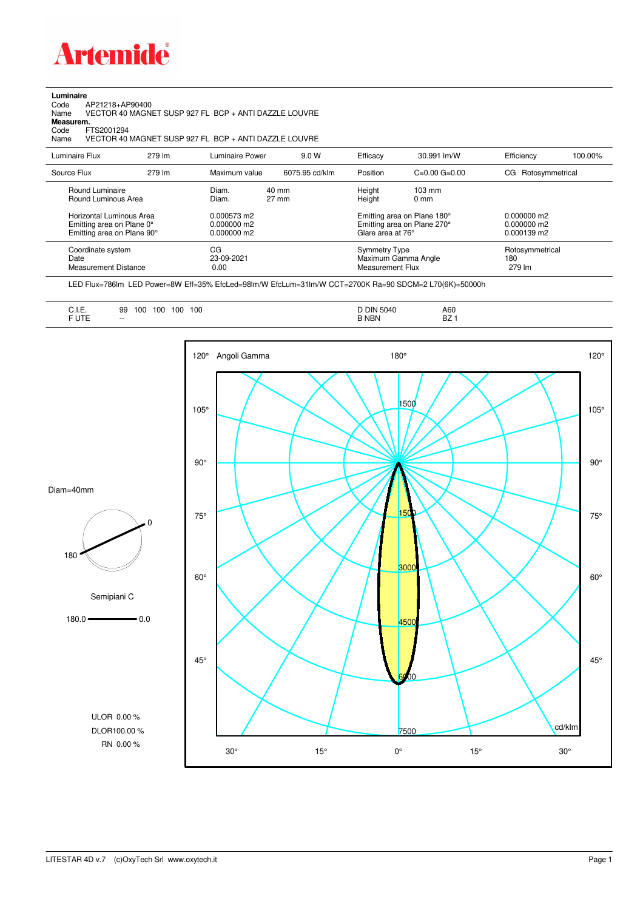

**Luminaire**<br>Code<br>Name Code AP21218+AP90400 Name VECTOR 40 MAGNET SUSP 927 FL BCP + ANTI DAZZLE LOUVRE

**Measurem.**

Code FTS2001294<br>Name VECTOR 40 Name VECTOR 40 MAGNET SUSP 927 FL BCP + ANTI DAZZLE LOUVRE

| Luminaire Flux                                                                                                                | 279 lm | Luminaire Power                                                 | 9.0 W                    | Efficacy                          | 30.991 lm/W                                                                                                                               | Efficiency                       | 100.00% |
|-------------------------------------------------------------------------------------------------------------------------------|--------|-----------------------------------------------------------------|--------------------------|-----------------------------------|-------------------------------------------------------------------------------------------------------------------------------------------|----------------------------------|---------|
| Source Flux                                                                                                                   | 279 lm | Maximum value                                                   | 6075.95 cd/klm           | Position                          | $C=0.00$ $G=0.00$                                                                                                                         | CG Rotosymmetrical               |         |
| Round Luminaire<br>Round Luminous Area<br>Horizontal Luminous Area<br>Emitting area on Plane 0°<br>Emitting area on Plane 90° |        | Diam.<br>Diam.<br>0.000573 m2<br>$0.000000$ m2<br>$0.000000$ m2 | 40 mm<br>$27 \text{ mm}$ |                                   | Height<br>$103 \text{ mm}$<br>Height<br>$0 \text{ mm}$<br>Emitting area on Plane 180°<br>Emitting area on Plane 270°<br>Glare area at 76° |                                  |         |
| Coordinate system<br>Date<br><b>Measurement Distance</b>                                                                      |        | CG<br>23-09-2021<br>0.00                                        |                          | Symmetry Type<br>Measurement Flux | Maximum Gamma Angle                                                                                                                       | Rotosymmetrical<br>180<br>279 lm |         |

LED Flux=786lm LED Power=8W Eff=35% EfcLed=98lm/W EfcLum=31lm/W CCT=2700K Ra=90 SDCM=2 L70(6K)=50000h